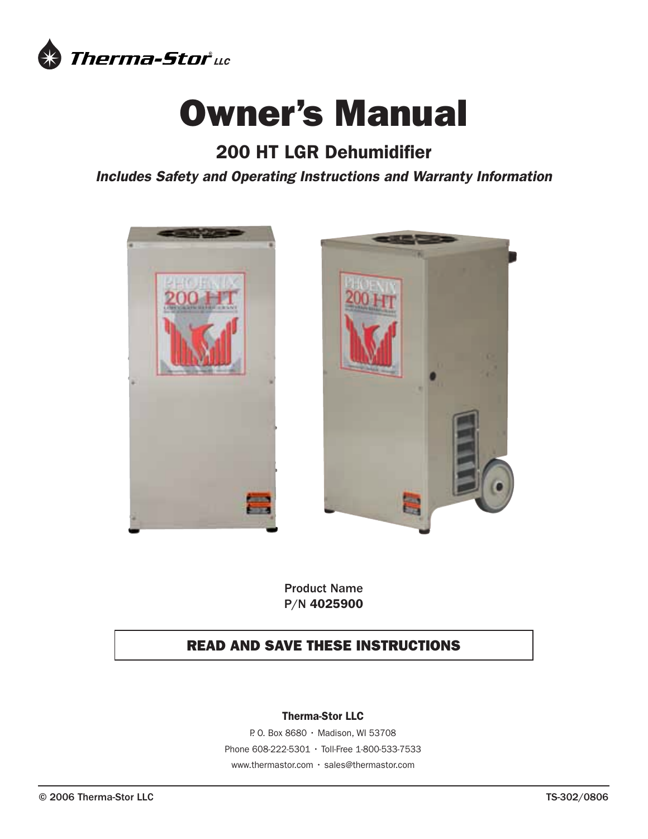

# Owner's Manual

# 200 HT LGR Dehumidifier

*Includes Safety and Operating Instructions and Warranty Information*





Product Name P/N 4025900

# READ AND SAVE THESE INSTRUCTIONS

# Therma-Stor LLC

P. O. Box 8680 • Madison, WI 53708 Phone 608-222-5301 • Toll-Free 1-800-533-7533 www.thermastor.com • sales@thermastor.com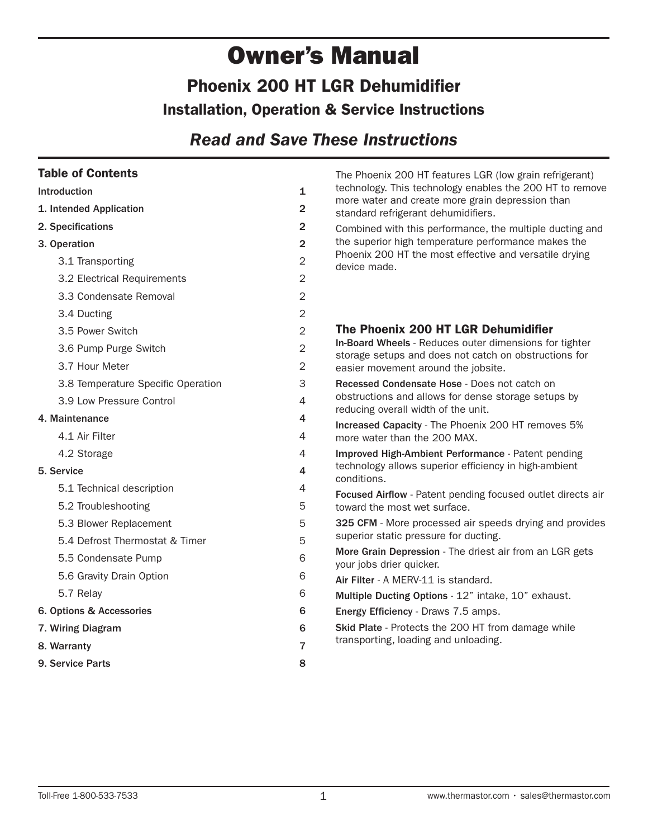# Owner's Manual Phoenix 200 HT LGR Dehumidifier Installation, Operation & Service Instructions

# *Read and Save These Instructions*

# Table of Contents

| <b>Table of Contents</b>                                     |                | The Phoenix 200 HT features LGR (low grain refrigerant)                                                         |  |  |  |  |
|--------------------------------------------------------------|----------------|-----------------------------------------------------------------------------------------------------------------|--|--|--|--|
| Introduction                                                 |                | technology. This technology enables the 200 HT to remove                                                        |  |  |  |  |
| 1. Intended Application<br>2. Specifications<br>3. Operation |                | more water and create more grain depression than<br>standard refrigerant dehumidifiers.                         |  |  |  |  |
|                                                              |                | Combined with this performance, the multiple ducting and                                                        |  |  |  |  |
|                                                              |                | the superior high temperature performance makes the                                                             |  |  |  |  |
| 3.1 Transporting                                             | $\overline{c}$ | Phoenix 200 HT the most effective and versatile drying<br>device made.                                          |  |  |  |  |
| 3.2 Electrical Requirements                                  | $\overline{2}$ |                                                                                                                 |  |  |  |  |
| 3.3 Condensate Removal                                       | $\overline{2}$ |                                                                                                                 |  |  |  |  |
| 3.4 Ducting                                                  | $\overline{2}$ |                                                                                                                 |  |  |  |  |
| 3.5 Power Switch                                             | $\overline{2}$ | The Phoenix 200 HT LGR Dehumidifier                                                                             |  |  |  |  |
| 3.6 Pump Purge Switch                                        | $\mathbf 2$    | In-Board Wheels - Reduces outer dimensions for tighter<br>storage setups and does not catch on obstructions for |  |  |  |  |
| 3.7 Hour Meter                                               | $\overline{2}$ | easier movement around the jobsite.                                                                             |  |  |  |  |
| 3.8 Temperature Specific Operation                           | 3              | Recessed Condensate Hose - Does not catch on                                                                    |  |  |  |  |
| 3.9 Low Pressure Control                                     | $\overline{4}$ | obstructions and allows for dense storage setups by<br>reducing overall width of the unit.                      |  |  |  |  |
| 4. Maintenance                                               | 4              | Increased Capacity - The Phoenix 200 HT removes 5%                                                              |  |  |  |  |
| 4.1 Air Filter                                               | 4              | more water than the 200 MAX.                                                                                    |  |  |  |  |
| 4.2 Storage                                                  | 4              | Improved High-Ambient Performance - Patent pending                                                              |  |  |  |  |
| 4<br>5. Service<br>5.1 Technical description<br>4            |                | technology allows superior efficiency in high-ambient<br>conditions.                                            |  |  |  |  |
|                                                              |                | Focused Airflow - Patent pending focused outlet directs air                                                     |  |  |  |  |
| 5.2 Troubleshooting                                          | 5              | toward the most wet surface.                                                                                    |  |  |  |  |
| 5.3 Blower Replacement                                       | 5              | 325 CFM - More processed air speeds drying and provides                                                         |  |  |  |  |
| 5.4 Defrost Thermostat & Timer                               | 5              | superior static pressure for ducting.                                                                           |  |  |  |  |
| 5.5 Condensate Pump                                          | 6              | More Grain Depression - The driest air from an LGR gets<br>your jobs drier quicker.                             |  |  |  |  |
| 5.6 Gravity Drain Option                                     | 6              | Air Filter - A MERV-11 is standard.                                                                             |  |  |  |  |
| 5.7 Relay                                                    | 6              | Multiple Ducting Options - 12" intake, 10" exhaust.                                                             |  |  |  |  |
| 6. Options & Accessories                                     | 6              | Energy Efficiency - Draws 7.5 amps.                                                                             |  |  |  |  |
| 7. Wiring Diagram<br>8. Warranty                             |                | Skid Plate - Protects the 200 HT from damage while                                                              |  |  |  |  |
|                                                              |                | transporting, loading and unloading.                                                                            |  |  |  |  |
| 9. Service Parts                                             | 8              |                                                                                                                 |  |  |  |  |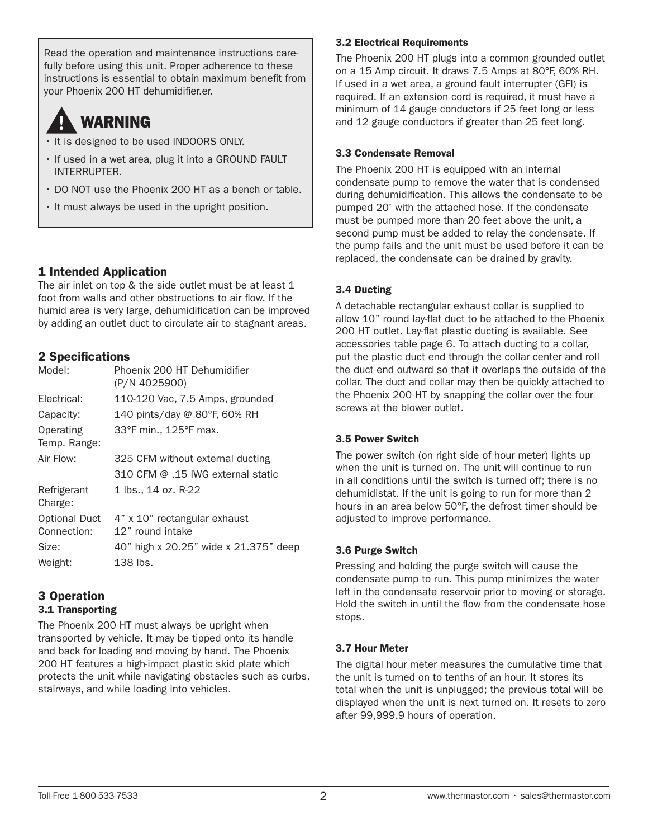Read the operation and maintenance instructions carefully before using this unit. Proper adherence to these instructions is essential to obtain maximum benefit from your Phoenix 200 HT dehumidifier.er.

# WARNING

- It is designed to be used INDOORS ONLY.
- If used in a wet area, plug it into a GROUND FAULT INTERRUPTER.
- DO NOT use the Phoenix 200 HT as a bench or table.
- It must always be used in the upright position.

# 1 Intended Application

The air inlet on top & the side outlet must be at least 1 foot from walls and other obstructions to air flow. If the humid area is very large, dehumidification can be improved by adding an outlet duct to circulate air to stagnant areas.

# 2 Specifications

| Phoenix 200 HT Dehumidifier<br>(P/N 4025900)     |
|--------------------------------------------------|
| 110-120 Vac, 7.5 Amps, grounded                  |
| 140 pints/day @ 80°F, 60% RH                     |
| 33°F min., 125°F max.                            |
| 325 CFM without external ducting                 |
| 310 CFM @ .15 IWG external static                |
| 1 lbs., 14 oz. R-22                              |
| 4" x 10" rectangular exhaust<br>12" round intake |
| 40" high x 20.25" wide x 21.375" deep            |
| 138 lbs.                                         |
|                                                  |

### 3 Operation 3.1 Transporting

The Phoenix 200 HT must always be upright when transported by vehicle. It may be tipped onto its handle and back for loading and moving by hand. The Phoenix 200 HT features a high-impact plastic skid plate which protects the unit while navigating obstacles such as curbs, stairways, and while loading into vehicles.

# 3.2 Electrical Requirements

The Phoenix 200 HT plugs into a common grounded outlet on a 15 Amp circuit. It draws 7.5 Amps at 80°F, 60% RH. If used in a wet area, a ground fault interrupter (GFI) is required. If an extension cord is required, it must have a minimum of 14 gauge conductors if 25 feet long or less and 12 gauge conductors if greater than 25 feet long.

# 3.3 Condensate Removal

The Phoenix 200 HT is equipped with an internal condensate pump to remove the water that is condensed during dehumidification. This allows the condensate to be pumped 20' with the attached hose. If the condensate must be pumped more than 20 feet above the unit, a second pump must be added to relay the condensate. If the pump fails and the unit must be used before it can be replaced, the condensate can be drained by gravity.

# 3.4 Ducting

A detachable rectangular exhaust collar is supplied to allow 10" round lay-flat duct to be attached to the Phoenix 200 HT outlet. Lay-flat plastic ducting is available. See accessories table page 6. To attach ducting to a collar, put the plastic duct end through the collar center and roll the duct end outward so that it overlaps the outside of the collar. The duct and collar may then be quickly attached to the Phoenix 200 HT by snapping the collar over the four screws at the blower outlet.

# 3.5 Power Switch

The power switch (on right side of hour meter) lights up when the unit is turned on. The unit will continue to run in all conditions until the switch is turned off; there is no dehumidistat. If the unit is going to run for more than 2 hours in an area below 50°F, the defrost timer should be adjusted to improve performance.

# 3.6 Purge Switch

Pressing and holding the purge switch will cause the condensate pump to run. This pump minimizes the water left in the condensate reservoir prior to moving or storage. Hold the switch in until the flow from the condensate hose stops.

# 3.7 Hour Meter

The digital hour meter measures the cumulative time that the unit is turned on to tenths of an hour. It stores its total when the unit is unplugged; the previous total will be displayed when the unit is next turned on. It resets to zero after 99,999.9 hours of operation.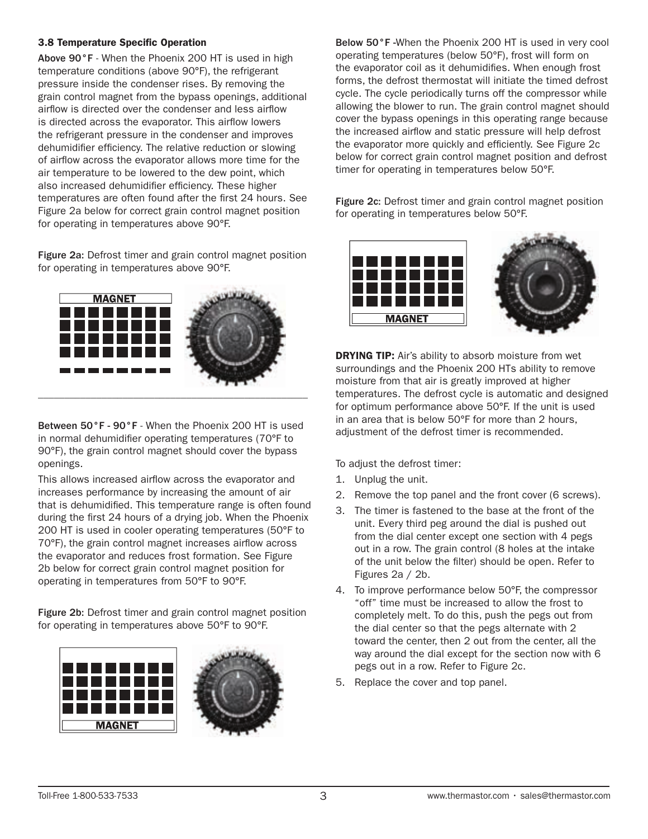#### 3.8 Temperature Specific Operation

Above 90°F - When the Phoenix 200 HT is used in high temperature conditions (above 90°F), the refrigerant pressure inside the condenser rises. By removing the grain control magnet from the bypass openings, additional airflow is directed over the condenser and less airflow is directed across the evaporator. This airflow lowers the refrigerant pressure in the condenser and improves dehumidifier efficiency. The relative reduction or slowing of airflow across the evaporator allows more time for the air temperature to be lowered to the dew point, which also increased dehumidifier efficiency. These higher temperatures are often found after the first 24 hours. See Figure 2a below for correct grain control magnet position for operating in temperatures above 90°F.

Figure 2a: Defrost timer and grain control magnet position for operating in temperatures above 90°F.



Between 50°F - 90°F - When the Phoenix 200 HT is used in normal dehumidifier operating temperatures (70°F to 90°F), the grain control magnet should cover the bypass openings.

This allows increased airflow across the evaporator and increases performance by increasing the amount of air that is dehumidified. This temperature range is often found during the first 24 hours of a drying job. When the Phoenix 200 HT is used in cooler operating temperatures (50°F to 70°F), the grain control magnet increases airflow across the evaporator and reduces frost formation. See Figure 2b below for correct grain control magnet position for operating in temperatures from 50°F to 90°F.

Figure 2b: Defrost timer and grain control magnet position for operating in temperatures above 50°F to 90°F.



Below 50°F -When the Phoenix 200 HT is used in very cool operating temperatures (below 50°F), frost will form on the evaporator coil as it dehumidifies. When enough frost forms, the defrost thermostat will initiate the timed defrost cycle. The cycle periodically turns off the compressor while allowing the blower to run. The grain control magnet should cover the bypass openings in this operating range because the increased airflow and static pressure will help defrost the evaporator more quickly and efficiently. See Figure 2c below for correct grain control magnet position and defrost timer for operating in temperatures below 50°F.

Figure 2c: Defrost timer and grain control magnet position for operating in temperatures below 50°F.



**DRYING TIP:** Air's ability to absorb moisture from wet surroundings and the Phoenix 200 HTs ability to remove moisture from that air is greatly improved at higher temperatures. The defrost cycle is automatic and designed for optimum performance above 50°F. If the unit is used in an area that is below 50°F for more than 2 hours, adjustment of the defrost timer is recommended.

To adjust the defrost timer:

- 1. Unplug the unit.
- 2. Remove the top panel and the front cover (6 screws).
- 3. The timer is fastened to the base at the front of the unit. Every third peg around the dial is pushed out from the dial center except one section with 4 pegs out in a row. The grain control (8 holes at the intake of the unit below the filter) should be open. Refer to Figures 2a / 2b.
- 4. To improve performance below 50°F, the compressor "off" time must be increased to allow the frost to completely melt. To do this, push the pegs out from the dial center so that the pegs alternate with 2 toward the center, then 2 out from the center, all the way around the dial except for the section now with 6 pegs out in a row. Refer to Figure 2c.
- 5. Replace the cover and top panel.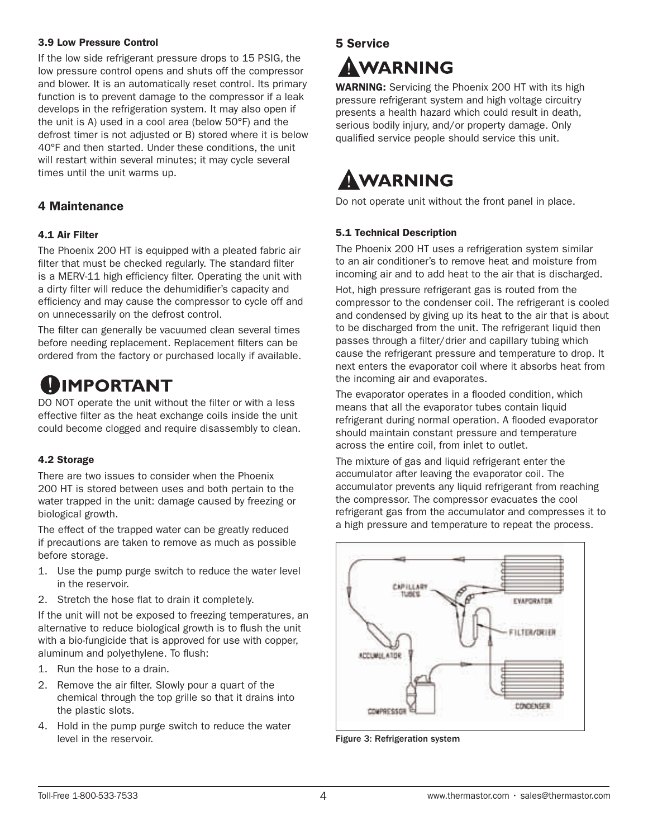#### 3.9 Low Pressure Control

If the low side refrigerant pressure drops to 15 PSIG, the low pressure control opens and shuts off the compressor and blower. It is an automatically reset control. Its primary function is to prevent damage to the compressor if a leak develops in the refrigeration system. It may also open if the unit is A) used in a cool area (below 50°F) and the defrost timer is not adjusted or B) stored where it is below 40°F and then started. Under these conditions, the unit will restart within several minutes; it may cycle several times until the unit warms up.

# 4 Maintenance

### 4.1 Air Filter

The Phoenix 200 HT is equipped with a pleated fabric air filter that must be checked regularly. The standard filter is a MERV-11 high efficiency filter. Operating the unit with a dirty filter will reduce the dehumidifier's capacity and efficiency and may cause the compressor to cycle off and on unnecessarily on the defrost control.

The filter can generally be vacuumed clean several times before needing replacement. Replacement filters can be ordered from the factory or purchased locally if available.

# **IMPORTANT**

DO NOT operate the unit without the filter or with a less effective filter as the heat exchange coils inside the unit could become clogged and require disassembly to clean.

### 4.2 Storage

There are two issues to consider when the Phoenix 200 HT is stored between uses and both pertain to the water trapped in the unit: damage caused by freezing or biological growth.

The effect of the trapped water can be greatly reduced if precautions are taken to remove as much as possible before storage.

- 1. Use the pump purge switch to reduce the water level in the reservoir.
- 2. Stretch the hose flat to drain it completely.

If the unit will not be exposed to freezing temperatures, an alternative to reduce biological growth is to flush the unit with a bio-fungicide that is approved for use with copper, aluminum and polyethylene. To flush:

- 1. Run the hose to a drain.
- 2. Remove the air filter. Slowly pour a quart of the chemical through the top grille so that it drains into the plastic slots.
- 4. Hold in the pump purge switch to reduce the water level in the reservoir.

# 5 Service

# AWARNING

WARNING: Servicing the Phoenix 200 HT with its high pressure refrigerant system and high voltage circuitry presents a health hazard which could result in death, serious bodily injury, and/or property damage. Only qualified service people should service this unit.

# AWARNING

Do not operate unit without the front panel in place.

# 5.1 Technical Description

The Phoenix 200 HT uses a refrigeration system similar to an air conditioner's to remove heat and moisture from incoming air and to add heat to the air that is discharged. Hot, high pressure refrigerant gas is routed from the compressor to the condenser coil. The refrigerant is cooled and condensed by giving up its heat to the air that is about to be discharged from the unit. The refrigerant liquid then passes through a filter/drier and capillary tubing which cause the refrigerant pressure and temperature to drop. It next enters the evaporator coil where it absorbs heat from the incoming air and evaporates.

The evaporator operates in a flooded condition, which means that all the evaporator tubes contain liquid refrigerant during normal operation. A flooded evaporator should maintain constant pressure and temperature across the entire coil, from inlet to outlet.

The mixture of gas and liquid refrigerant enter the accumulator after leaving the evaporator coil. The accumulator prevents any liquid refrigerant from reaching the compressor. The compressor evacuates the cool refrigerant gas from the accumulator and compresses it to a high pressure and temperature to repeat the process.



Figure 3: Refrigeration system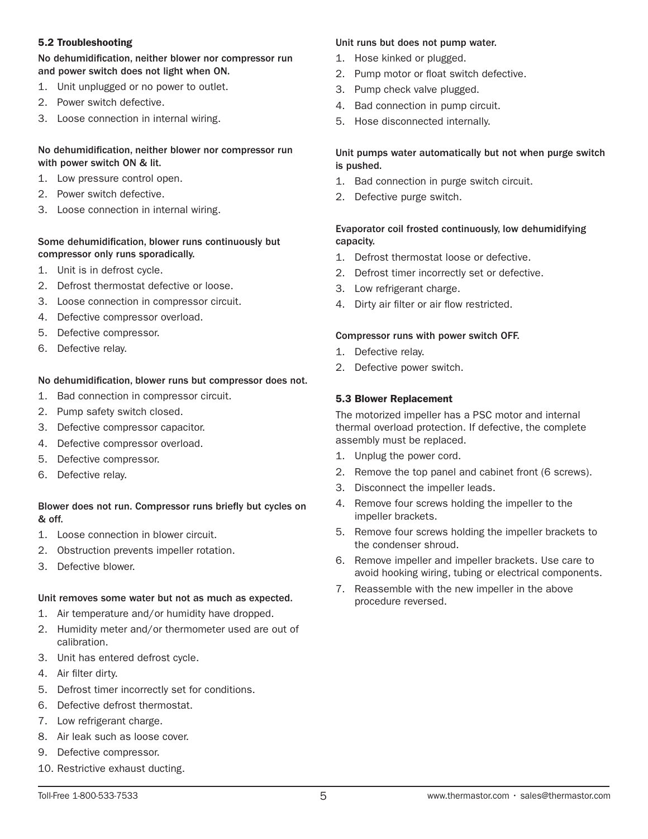#### 5.2 Troubleshooting

#### No dehumidification, neither blower nor compressor run and power switch does not light when ON.

- 1. Unit unplugged or no power to outlet.
- 2. Power switch defective.
- 3. Loose connection in internal wiring.

### No dehumidification, neither blower nor compressor run with power switch ON & lit.

- 1. Low pressure control open.
- 2. Power switch defective.
- 3. Loose connection in internal wiring.

# Some dehumidification, blower runs continuously but compressor only runs sporadically.

- 1. Unit is in defrost cycle.
- 2. Defrost thermostat defective or loose.
- 3. Loose connection in compressor circuit.
- 4. Defective compressor overload.
- 5. Defective compressor.
- 6. Defective relay.

# No dehumidification, blower runs but compressor does not.

- 1. Bad connection in compressor circuit.
- 2. Pump safety switch closed.
- 3. Defective compressor capacitor.
- 4. Defective compressor overload.
- 5. Defective compressor.
- 6. Defective relay.

# Blower does not run. Compressor runs briefly but cycles on & off.

- 1. Loose connection in blower circuit.
- 2. Obstruction prevents impeller rotation.
- 3. Defective blower.

# Unit removes some water but not as much as expected.

- 1. Air temperature and/or humidity have dropped.
- 2. Humidity meter and/or thermometer used are out of calibration.
- 3. Unit has entered defrost cycle.
- 4. Air filter dirty.
- 5. Defrost timer incorrectly set for conditions.
- 6. Defective defrost thermostat.
- 7. Low refrigerant charge.
- 8. Air leak such as loose cover.
- 9. Defective compressor.
- 10. Restrictive exhaust ducting.

# Unit runs but does not pump water.

- 1. Hose kinked or plugged.
- 2. Pump motor or float switch defective.
- 3. Pump check valve plugged.
- 4. Bad connection in pump circuit.
- 5. Hose disconnected internally.

# Unit pumps water automatically but not when purge switch is pushed.

- 1. Bad connection in purge switch circuit.
- 2. Defective purge switch.

# Evaporator coil frosted continuously, low dehumidifying capacity.

- 1. Defrost thermostat loose or defective.
- 2. Defrost timer incorrectly set or defective.
- 3. Low refrigerant charge.
- 4. Dirty air filter or air flow restricted.

# Compressor runs with power switch OFF.

- 1. Defective relay.
- 2. Defective power switch.

# 5.3 Blower Replacement

The motorized impeller has a PSC motor and internal thermal overload protection. If defective, the complete assembly must be replaced.

- 1. Unplug the power cord.
- 2. Remove the top panel and cabinet front (6 screws).
- 3. Disconnect the impeller leads.
- 4. Remove four screws holding the impeller to the impeller brackets.
- 5. Remove four screws holding the impeller brackets to the condenser shroud.
- 6. Remove impeller and impeller brackets. Use care to avoid hooking wiring, tubing or electrical components.
- 7. Reassemble with the new impeller in the above procedure reversed.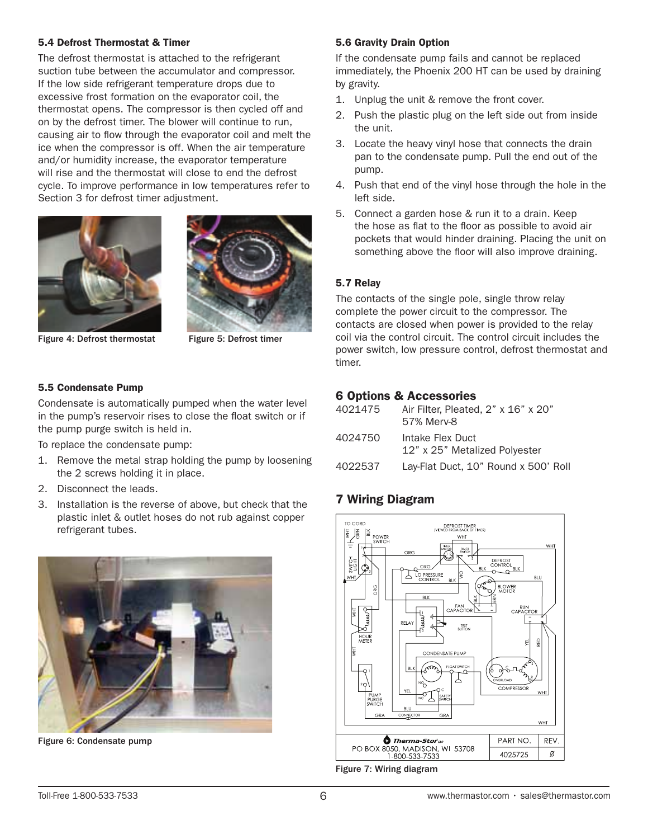#### 5.4 Defrost Thermostat & Timer

The defrost thermostat is attached to the refrigerant suction tube between the accumulator and compressor. If the low side refrigerant temperature drops due to excessive frost formation on the evaporator coil, the thermostat opens. The compressor is then cycled off and on by the defrost timer. The blower will continue to run, causing air to flow through the evaporator coil and melt the ice when the compressor is off. When the air temperature and/or humidity increase, the evaporator temperature will rise and the thermostat will close to end the defrost cycle. To improve performance in low temperatures refer to Section 3 for defrost timer adjustment.





Figure 4: Defrost thermostat Figure 5: Defrost timer

#### 5.5 Condensate Pump

Condensate is automatically pumped when the water level in the pump's reservoir rises to close the float switch or if the pump purge switch is held in.

To replace the condensate pump:

- 1. Remove the metal strap holding the pump by loosening the 2 screws holding it in place.
- 2. Disconnect the leads.
- 3. Installation is the reverse of above, but check that the plastic inlet & outlet hoses do not rub against copper refrigerant tubes.



Figure 6: Condensate pump

### 5.6 Gravity Drain Option

If the condensate pump fails and cannot be replaced immediately, the Phoenix 200 HT can be used by draining by gravity.

- 1. Unplug the unit & remove the front cover.
- 2. Push the plastic plug on the left side out from inside the unit.
- 3. Locate the heavy vinyl hose that connects the drain pan to the condensate pump. Pull the end out of the pump.
- 4. Push that end of the vinyl hose through the hole in the left side.
- 5. Connect a garden hose & run it to a drain. Keep the hose as flat to the floor as possible to avoid air pockets that would hinder draining. Placing the unit on something above the floor will also improve draining.

# 5.7 Relay

The contacts of the single pole, single throw relay complete the power circuit to the compressor. The contacts are closed when power is provided to the relay coil via the control circuit. The control circuit includes the power switch, low pressure control, defrost thermostat and timer.

# 6 Options & Accessories

| 4021475 | Air Filter, Pleated, 2" x 16" x 20"<br>57% Merv-8 |
|---------|---------------------------------------------------|
| 4024750 | Intake Flex Duct<br>12" x 25" Metalized Polyester |
| 4022537 | Lay-Flat Duct, 10" Round x 500' Roll              |

# 7 Wiring Diagram



Figure 7: Wiring diagram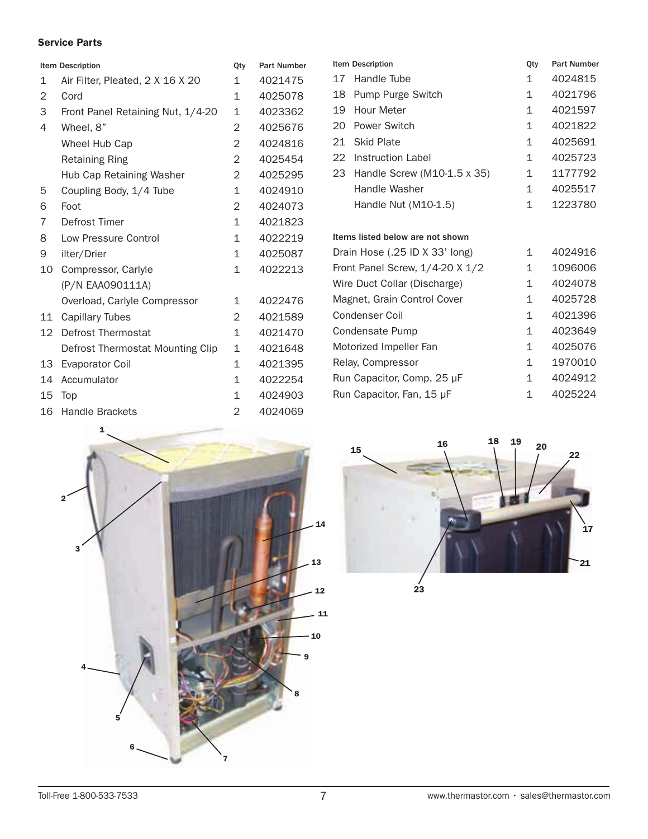### Service Parts

| <b>Item Description</b> |                                   | Qty          | <b>Part Number</b> | Ite            |
|-------------------------|-----------------------------------|--------------|--------------------|----------------|
| $\mathbf{1}$            | Air Filter, Pleated, 2 X 16 X 20  | 1            | 4021475            | $1^{\circ}$    |
| 2                       | Cord                              | 1            | 4025078            | 1              |
| 3                       | Front Panel Retaining Nut, 1/4-20 | $\mathbf{1}$ | 4023362            | 1!             |
| 4                       | Wheel, 8"                         | 2            | 4025676            | $\overline{2}$ |
|                         | Wheel Hub Cap                     | 2            | 4024816            | $\overline{2}$ |
|                         | <b>Retaining Ring</b>             | 2            | 4025454            | 2:             |
|                         | Hub Cap Retaining Washer          | 2            | 4025295            | 2.             |
| 5                       | Coupling Body, 1/4 Tube           | $\mathbf{1}$ | 4024910            |                |
| 6                       | Foot                              | 2            | 4024073            |                |
| 7                       | Defrost Timer                     | 1            | 4021823            |                |
| 8                       | Low Pressure Control              | 1            | 4022219            | Ite            |
| 9                       | ilter/Drier                       | $\mathbf{1}$ | 4025087            | D              |
| 10                      | Compressor, Carlyle               | $\mathbf{1}$ | 4022213            | Fr             |
|                         | (P/N EAA090111A)                  |              |                    | W              |
|                         | Overload, Carlyle Compressor      | $\mathbf{1}$ | 4022476            | M              |
| 11                      | <b>Capillary Tubes</b>            | 2            | 4021589            | C۱             |
| 12                      | Defrost Thermostat                | $\mathbf{1}$ | 4021470            | C١             |
|                         | Defrost Thermostat Mounting Clip  | 1            | 4021648            | M              |
| 13                      | <b>Evaporator Coil</b>            | $\mathbf{1}$ | 4021395            | R١             |
| 14                      | Accumulator                       | $\mathbf{1}$ | 4022254            | $R_{\rm I}$    |
| 15                      | Top                               | $\mathbf{1}$ | 4024903            | R              |
| 16                      | <b>Handle Brackets</b>            | 2            | 4024069            |                |
|                         |                                   |              |                    |                |

| <b>Item Description</b> |                                    | Qty | <b>Part Number</b> |
|-------------------------|------------------------------------|-----|--------------------|
| 17                      | Handle Tube                        | 1   | 4024815            |
| 18                      | <b>Pump Purge Switch</b>           | 1   | 4021796            |
| 19                      | Hour Meter                         | 1   | 4021597            |
| 20                      | <b>Power Switch</b>                | 1   | 4021822            |
| 21.                     | Skid Plate                         | 1   | 4025691            |
|                         | 22 Instruction Label               | 1   | 4025723            |
| 23                      | Handle Screw $(M10-1.5 \times 35)$ | 1   | 1177792            |
|                         | Handle Washer                      | 1   | 4025517            |
|                         | Handle Nut $(M10-1.5)$             | 1   | 1223780            |

#### ems listed below are not shown

| Drain Hose (.25 ID X 33' long)  | 1 | 4024916 |
|---------------------------------|---|---------|
| Front Panel Screw, 1/4-20 X 1/2 | 1 | 1096006 |
| Wire Duct Collar (Discharge)    | 1 | 4024078 |
| Magnet, Grain Control Cover     | 1 | 4025728 |
| Condenser Coil                  | 1 | 4021396 |
| Condensate Pump                 | 1 | 4023649 |
| Motorized Impeller Fan          | 1 | 4025076 |
| Relay, Compressor               | 1 | 1970010 |
| Run Capacitor, Comp. 25 µF      | 1 | 4024912 |
| Run Capacitor, Fan, 15 µF       | 1 | 4025224 |